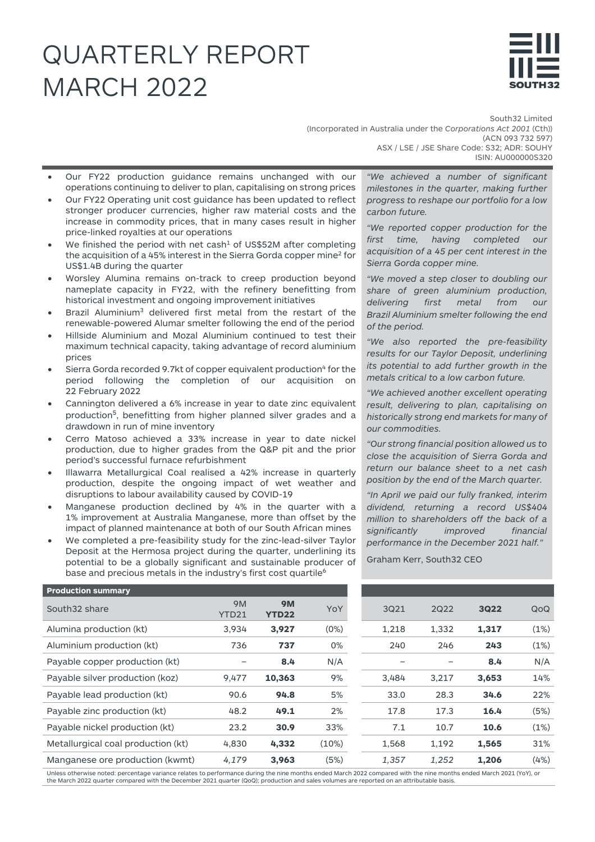# QUARTERLY REPORT MARCH 2022



South32 Limited (Incorporated in Australia under the *Corporations Act 2001* (Cth)) (ACN 093 732 597) ASX / LSE / JSE Share Code: S32; ADR: SOUHY ISIN: AU000000S320

- Our FY22 production guidance remains unchanged with our operations continuing to deliver to plan, capitalising on strong prices
- Our FY22 Operating unit cost guidance has been updated to reflect stronger producer currencies, higher raw material costs and the increase in commodity prices, that in many cases result in higher price-linked royalties at our operations
- We finished the period with net cash<sup>1</sup> of US\$52M after completing the acquisition of a 45% interest in the Sierra Gorda copper mine<sup>2</sup> for US\$1.4B during the quarter
- Worsley Alumina remains on-track to creep production beyond nameplate capacity in FY22, with the refinery benefitting from historical investment and ongoing improvement initiatives
- Brazil Aluminium<sup>3</sup> delivered first metal from the restart of the renewable-powered Alumar smelter following the end of the period
- Hillside Aluminium and Mozal Aluminium continued to test their maximum technical capacity, taking advantage of record aluminium prices
- Sierra Gorda recorded 9.7kt of copper equivalent production<sup>4</sup> for the period following the completion of our acquisition on 22 February 2022
- Cannington delivered a 6% increase in year to date zinc equivalent production<sup>5</sup>, benefitting from higher planned silver grades and a drawdown in run of mine inventory
- Cerro Matoso achieved a 33% increase in year to date nickel production, due to higher grades from the Q&P pit and the prior period's successful furnace refurbishment
- Illawarra Metallurgical Coal realised a 42% increase in quarterly production, despite the ongoing impact of wet weather and disruptions to labour availability caused by COVID-19
- Manganese production declined by 4% in the quarter with a 1% improvement at Australia Manganese, more than offset by the impact of planned maintenance at both of our South African mines
- We completed a pre-feasibility study for the zinc-lead-silver Taylor Deposit at the Hermosa project during the quarter, underlining its potential to be a globally significant and sustainable producer of base and precious metals in the industry's first cost quartile<sup>6</sup>

*"We achieved a number of significant milestones in the quarter, making further progress to reshape our portfolio for a low carbon future.* 

*"We reported copper production for the first time, having completed our acquisition of a 45 per cent interest in the Sierra Gorda copper mine.*

*"We moved a step closer to doubling our share of green aluminium production, delivering first metal from our Brazil Aluminium smelter following the end of the period.*

*"We also reported the pre-feasibility results for our Taylor Deposit, underlining its potential to add further growth in the metals critical to a low carbon future.* 

*"We achieved another excellent operating result, delivering to plan, capitalising on historically strong end markets for many of our commodities.* 

*"Our strong financial position allowed us to close the acquisition of Sierra Gorda and return our balance sheet to a net cash position by the end of the March quarter.*

*"In April we paid our fully franked, interim dividend, returning a record US\$404 million to shareholders off the back of a significantly improved financial performance in the December 2021 half."*

Graham Kerr, South32 CEO

| <b>Production summary</b>          |                    |                           |       |       |       |             |      |
|------------------------------------|--------------------|---------------------------|-------|-------|-------|-------------|------|
| South 32 share                     | <b>9M</b><br>YTD21 | <b>9M</b><br><b>YTD22</b> | YoY   | 3Q21  | 2Q22  | <b>3Q22</b> | QoQ  |
| Alumina production (kt)            | 3,934              | 3,927                     | (0%)  | 1,218 | 1,332 | 1,317       | (1%) |
| Aluminium production (kt)          | 736                | 737                       | 0%    | 240   | 246   | 243         | (1%) |
| Payable copper production (kt)     |                    | 8.4                       | N/A   |       |       | 8.4         | N/A  |
| Payable silver production (koz)    | 9,477              | 10,363                    | 9%    | 3,484 | 3,217 | 3,653       | 14%  |
| Payable lead production (kt)       | 90.6               | 94.8                      | 5%    | 33.0  | 28.3  | 34.6        | 22%  |
| Payable zinc production (kt)       | 48.2               | 49.1                      | 2%    | 17.8  | 17.3  | 16.4        | (5%) |
| Payable nickel production (kt)     | 23.2               | 30.9                      | 33%   | 7.1   | 10.7  | 10.6        | (1%) |
| Metallurgical coal production (kt) | 4,830              | 4,332                     | (10%) | 1,568 | 1,192 | 1,565       | 31%  |
| Manganese ore production (kwmt)    | 4,179              | 3,963                     | (5%)  | 1,357 | 1,252 | 1,206       | (4%) |
|                                    |                    |                           |       |       |       |             |      |

| <b>9M</b><br><b>YTD22</b> | YoY   | 3Q21  | <b>2Q22</b> | <b>3Q22</b> | QoQ  |
|---------------------------|-------|-------|-------------|-------------|------|
| 3,927                     | (0%)  | 1,218 | 1,332       | 1,317       | (1%) |
| 737                       | 0%    | 240   | 246         | 243         | (1%) |
| 8.4                       | N/A   |       |             | 8.4         | N/A  |
| 10,363                    | 9%    | 3,484 | 3,217       | 3,653       | 14%  |
| 94.8                      | 5%    | 33.0  | 28.3        | 34.6        | 22%  |
| 49.1                      | 2%    | 17.8  | 17.3        | 16.4        | (5%) |
| 30.9                      | 33%   | 7.1   | 10.7        | 10.6        | (1%) |
| 4,332                     | (10%) | 1,568 | 1,192       | 1,565       | 31%  |
| 3,963                     | (5%)  | 1,357 | 1,252       | 1,206       | (4%) |
|                           |       |       |             |             |      |

Unless otherwise noted: percentage variance relates to performance during the nine months ended March 2022 compared with the nine months ended March 2021 (YoY), or the March 2022 quarter compared with the December 2021 quarter (QoQ); production and sales volumes are reported on an attributable basis.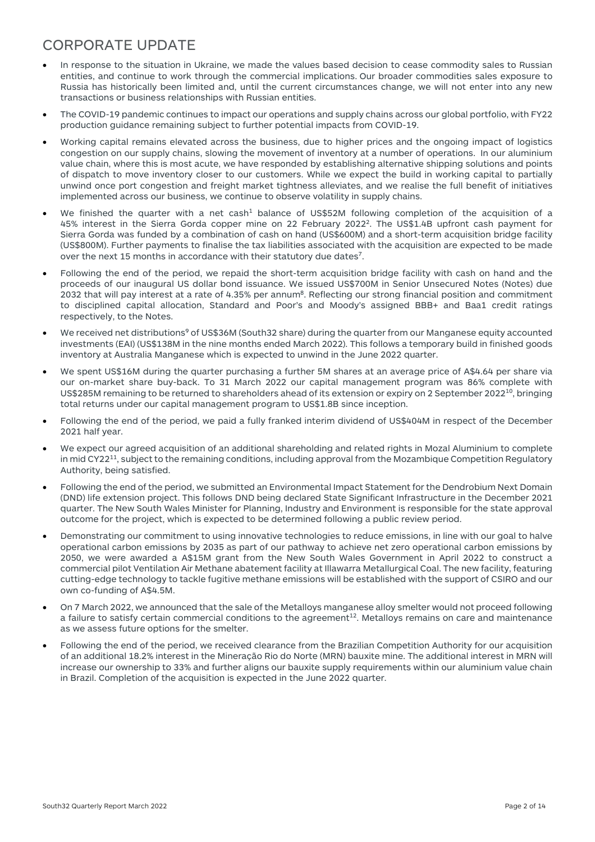#### CORPORATE UPDATE

- In response to the situation in Ukraine, we made the values based decision to cease commodity sales to Russian entities, and continue to work through the commercial implications. Our broader commodities sales exposure to Russia has historically been limited and, until the current circumstances change, we will not enter into any new transactions or business relationships with Russian entities.
- The COVID-19 pandemic continues to impact our operations and supply chains across our global portfolio, with FY22 production guidance remaining subject to further potential impacts from COVID-19.
- Working capital remains elevated across the business, due to higher prices and the ongoing impact of logistics congestion on our supply chains, slowing the movement of inventory at a number of operations. In our aluminium value chain, where this is most acute, we have responded by establishing alternative shipping solutions and points of dispatch to move inventory closer to our customers. While we expect the build in working capital to partially unwind once port congestion and freight market tightness alleviates, and we realise the full benefit of initiatives implemented across our business, we continue to observe volatility in supply chains.
- We finished the quarter with a net cash<sup>1</sup> balance of US\$52M following completion of the acquisition of a 45% interest in the Sierra Gorda copper mine on 22 February 20222. The US\$1.4B upfront cash payment for Sierra Gorda was funded by a combination of cash on hand (US\$600M) and a short-term acquisition bridge facility (US\$800M). Further payments to finalise the tax liabilities associated with the acquisition are expected to be made over the next 15 months in accordance with their statutory due dates<sup>7</sup>.
- Following the end of the period, we repaid the short-term acquisition bridge facility with cash on hand and the proceeds of our inaugural US dollar bond issuance. We issued US\$700M in Senior Unsecured Notes (Notes) due 2032 that will pay interest at a rate of 4.35% per annum<sup>8</sup>. Reflecting our strong financial position and commitment to disciplined capital allocation, Standard and Poor's and Moody's assigned BBB+ and Baa1 credit ratings respectively, to the Notes.
- We received net distributions<sup>9</sup> of US\$36M (South32 share) during the quarter from our Manganese equity accounted investments (EAI) (US\$138M in the nine months ended March 2022). This follows a temporary build in finished goods inventory at Australia Manganese which is expected to unwind in the June 2022 quarter.
- We spent US\$16M during the quarter purchasing a further 5M shares at an average price of A\$4.64 per share via our on-market share buy-back. To 31 March 2022 our capital management program was 86% complete with US\$285M remaining to be returned to shareholders ahead of its extension or expiry on 2 September 2022<sup>10</sup>, bringing total returns under our capital management program to US\$1.8B since inception.
- Following the end of the period, we paid a fully franked interim dividend of US\$404M in respect of the December 2021 half year.
- We expect our agreed acquisition of an additional shareholding and related rights in Mozal Aluminium to complete in mid CY22<sup>11</sup>, subject to the remaining conditions, including approval from the Mozambique Competition Regulatory Authority, being satisfied.
- Following the end of the period, we submitted an Environmental Impact Statement for the Dendrobium Next Domain (DND) life extension project. This follows DND being declared State Significant Infrastructure in the December 2021 quarter. The New South Wales Minister for Planning, Industry and Environment is responsible for the state approval outcome for the project, which is expected to be determined following a public review period.
- Demonstrating our commitment to using innovative technologies to reduce emissions, in line with our goal to halve operational carbon emissions by 2035 as part of our pathway to achieve net zero operational carbon emissions by 2050, we were awarded a A\$15M grant from the New South Wales Government in April 2022 to construct a commercial pilot Ventilation Air Methane abatement facility at Illawarra Metallurgical Coal. The new facility, featuring cutting-edge technology to tackle fugitive methane emissions will be established with the support of CSIRO and our own co-funding of A\$4.5M.
- On 7 March 2022, we announced that the sale of the Metalloys manganese alloy smelter would not proceed following a failure to satisfy certain commercial conditions to the agreement<sup>12</sup>. Metalloys remains on care and maintenance as we assess future options for the smelter.
- Following the end of the period, we received clearance from the Brazilian Competition Authority for our acquisition of an additional 18.2% interest in the Mineração Rio do Norte (MRN) bauxite mine. The additional interest in MRN will increase our ownership to 33% and further aligns our bauxite supply requirements within our aluminium value chain in Brazil. Completion of the acquisition is expected in the June 2022 quarter.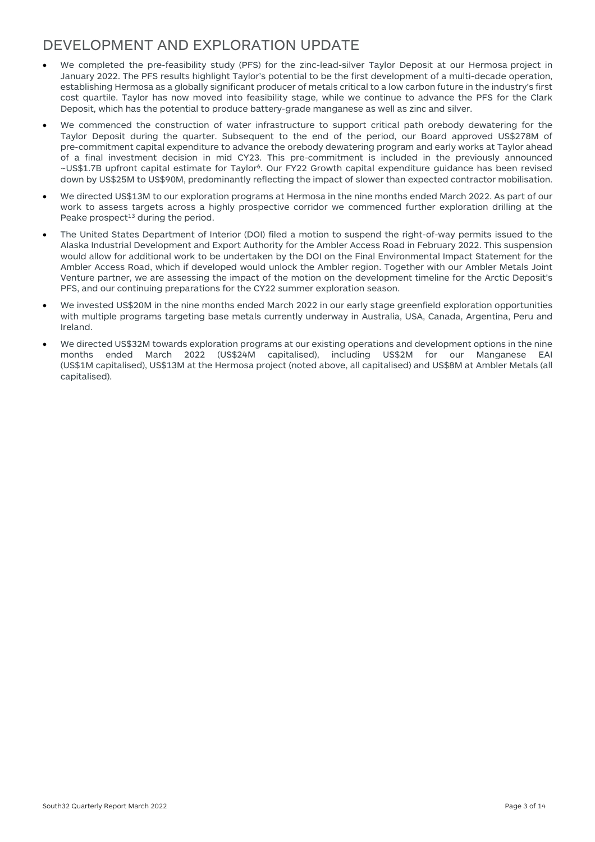#### DEVELOPMENT AND EXPLORATION UPDATE

- We completed the pre-feasibility study (PFS) for the zinc-lead-silver Taylor Deposit at our Hermosa project in January 2022. The PFS results highlight Taylor's potential to be the first development of a multi-decade operation, establishing Hermosa as a globally significant producer of metals critical to a low carbon future in the industry's first cost quartile. Taylor has now moved into feasibility stage, while we continue to advance the PFS for the Clark Deposit, which has the potential to produce battery-grade manganese as well as zinc and silver.
- We commenced the construction of water infrastructure to support critical path orebody dewatering for the Taylor Deposit during the quarter. Subsequent to the end of the period, our Board approved US\$278M of pre-commitment capital expenditure to advance the orebody dewatering program and early works at Taylor ahead of a final investment decision in mid CY23. This pre-commitment is included in the previously announced ~US\$1.7B upfront capital estimate for Taylor6. Our FY22 Growth capital expenditure guidance has been revised down by US\$25M to US\$90M, predominantly reflecting the impact of slower than expected contractor mobilisation.
- We directed US\$13M to our exploration programs at Hermosa in the nine months ended March 2022. As part of our work to assess targets across a highly prospective corridor we commenced further exploration drilling at the Peake prospect<sup>13</sup> during the period.
- The United States Department of Interior (DOI) filed a motion to suspend the right-of-way permits issued to the Alaska Industrial Development and Export Authority for the Ambler Access Road in February 2022. This suspension would allow for additional work to be undertaken by the DOI on the Final Environmental Impact Statement for the Ambler Access Road, which if developed would unlock the Ambler region. Together with our Ambler Metals Joint Venture partner, we are assessing the impact of the motion on the development timeline for the Arctic Deposit's PFS, and our continuing preparations for the CY22 summer exploration season.
- We invested US\$20M in the nine months ended March 2022 in our early stage greenfield exploration opportunities with multiple programs targeting base metals currently underway in Australia, USA, Canada, Argentina, Peru and Ireland.
- We directed US\$32M towards exploration programs at our existing operations and development options in the nine months ended March 2022 (US\$24M capitalised), including US\$2M for our Manganese EAI (US\$1M capitalised), US\$13M at the Hermosa project (noted above, all capitalised) and US\$8M at Ambler Metals (all capitalised).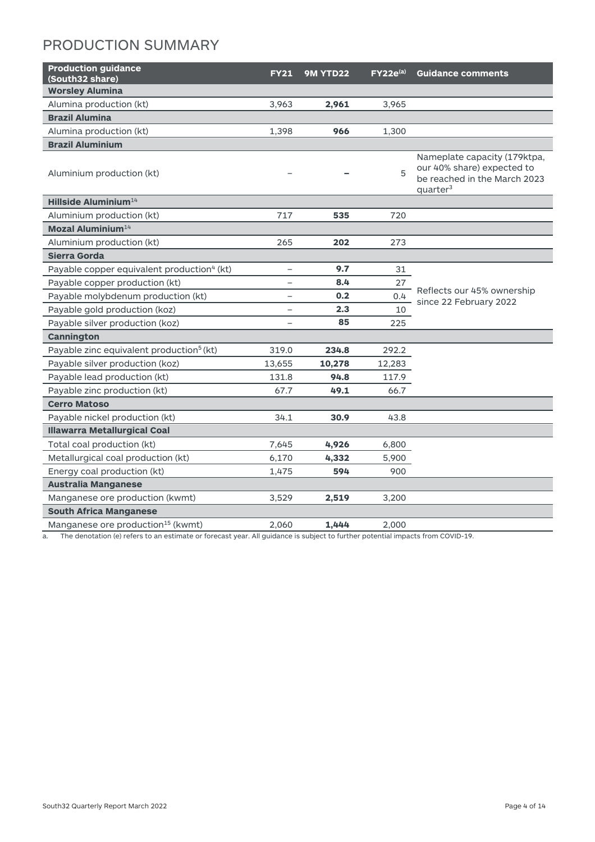## PRODUCTION SUMMARY

| <b>Production guidance</b><br>(South32 share)          | <b>FY21</b>              | 9M YTD22 | $FY22e^{(a)}$ | <b>Guidance comments</b>                                                                                           |
|--------------------------------------------------------|--------------------------|----------|---------------|--------------------------------------------------------------------------------------------------------------------|
| <b>Worsley Alumina</b>                                 |                          |          |               |                                                                                                                    |
| Alumina production (kt)                                | 3,963                    | 2,961    | 3,965         |                                                                                                                    |
| <b>Brazil Alumina</b>                                  |                          |          |               |                                                                                                                    |
| Alumina production (kt)                                | 1,398                    | 966      | 1,300         |                                                                                                                    |
| <b>Brazil Aluminium</b>                                |                          |          |               |                                                                                                                    |
| Aluminium production (kt)                              |                          |          | 5             | Nameplate capacity (179ktpa,<br>our 40% share) expected to<br>be reached in the March 2023<br>quarter <sup>3</sup> |
| Hillside Aluminium <sup>14</sup>                       |                          |          |               |                                                                                                                    |
| Aluminium production (kt)                              | 717                      | 535      | 720           |                                                                                                                    |
| Mozal Aluminium <sup>14</sup>                          |                          |          |               |                                                                                                                    |
| Aluminium production (kt)                              | 265                      | 202      | 273           |                                                                                                                    |
| Sierra Gorda                                           |                          |          |               |                                                                                                                    |
| Payable copper equivalent production <sup>4</sup> (kt) | $\overline{\phantom{a}}$ | 9.7      | 31            |                                                                                                                    |
| Payable copper production (kt)                         | $\overline{\phantom{0}}$ | 8.4      | 27            |                                                                                                                    |
| Payable molybdenum production (kt)                     | $\overline{\phantom{m}}$ | 0.2      | 0.4           | Reflects our 45% ownership<br>since 22 February 2022                                                               |
| Payable gold production (koz)                          | $\overline{\phantom{0}}$ | 2.3      | 10            |                                                                                                                    |
| Payable silver production (koz)                        | $\overline{\phantom{0}}$ | 85       | 225           |                                                                                                                    |
| Cannington                                             |                          |          |               |                                                                                                                    |
| Payable zinc equivalent production <sup>5</sup> (kt)   | 319.0                    | 234.8    | 292.2         |                                                                                                                    |
| Payable silver production (koz)                        | 13,655                   | 10,278   | 12,283        |                                                                                                                    |
| Payable lead production (kt)                           | 131.8                    | 94.8     | 117.9         |                                                                                                                    |
| Payable zinc production (kt)                           | 67.7                     | 49.1     | 66.7          |                                                                                                                    |
| <b>Cerro Matoso</b>                                    |                          |          |               |                                                                                                                    |
| Payable nickel production (kt)                         | 34.1                     | 30.9     | 43.8          |                                                                                                                    |
| <b>Illawarra Metallurgical Coal</b>                    |                          |          |               |                                                                                                                    |
| Total coal production (kt)                             | 7,645                    | 4,926    | 6,800         |                                                                                                                    |
| Metallurgical coal production (kt)                     | 6,170                    | 4,332    | 5,900         |                                                                                                                    |
| Energy coal production (kt)                            | 1,475                    | 594      | 900           |                                                                                                                    |
| <b>Australia Manganese</b>                             |                          |          |               |                                                                                                                    |
| Manganese ore production (kwmt)                        | 3,529                    | 2,519    | 3,200         |                                                                                                                    |
| <b>South Africa Manganese</b>                          |                          |          |               |                                                                                                                    |
| Manganese ore production <sup>15</sup> (kwmt)          | 2,060                    | 1,444    | 2,000         |                                                                                                                    |

a. The denotation (e) refers to an estimate or forecast year. All guidance is subject to further potential impacts from COVID-19.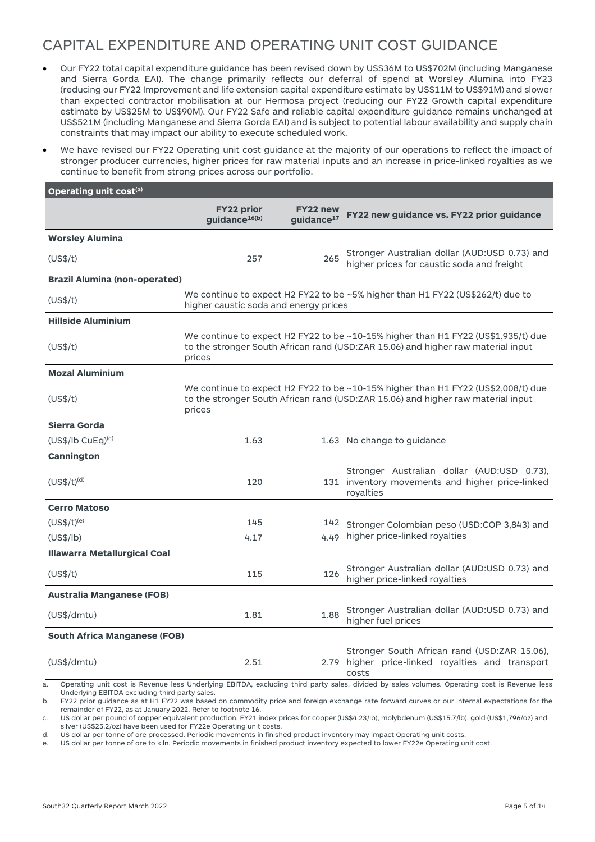## CAPITAL EXPENDITURE AND OPERATING UNIT COST GUIDANCE

- Our FY22 total capital expenditure guidance has been revised down by US\$36M to US\$702M (including Manganese and Sierra Gorda EAI). The change primarily reflects our deferral of spend at Worsley Alumina into FY23 (reducing our FY22 Improvement and life extension capital expenditure estimate by US\$11M to US\$91M) and slower than expected contractor mobilisation at our Hermosa project (reducing our FY22 Growth capital expenditure estimate by US\$25M to US\$90M). Our FY22 Safe and reliable capital expenditure guidance remains unchanged at US\$521M (including Manganese and Sierra Gorda EAI) and is subject to potential labour availability and supply chain constraints that may impact our ability to execute scheduled work.
- We have revised our FY22 Operating unit cost guidance at the majority of our operations to reflect the impact of stronger producer currencies, higher prices for raw material inputs and an increase in price-linked royalties as we continue to benefit from strong prices across our portfolio.

| Operating unit cost <sup>(a)</sup>   |                                                |                                    |                                                                                                                                                                       |
|--------------------------------------|------------------------------------------------|------------------------------------|-----------------------------------------------------------------------------------------------------------------------------------------------------------------------|
|                                      | <b>FY22 prior</b><br>guidance <sup>16(b)</sup> | FY22 new<br>guidance <sup>17</sup> | FY22 new guidance vs. FY22 prior guidance                                                                                                                             |
| <b>Worsley Alumina</b>               |                                                |                                    |                                                                                                                                                                       |
| (US\$/t)                             | 257                                            | 265                                | Stronger Australian dollar (AUD:USD 0.73) and<br>higher prices for caustic soda and freight                                                                           |
| <b>Brazil Alumina (non-operated)</b> |                                                |                                    |                                                                                                                                                                       |
| (US\$/t)                             | higher caustic soda and energy prices          |                                    | We continue to expect H2 FY22 to be ~5% higher than H1 FY22 (US\$262/t) due to                                                                                        |
| <b>Hillside Aluminium</b>            |                                                |                                    |                                                                                                                                                                       |
| (US\$/t)                             | prices                                         |                                    | We continue to expect H2 FY22 to be ~10-15% higher than H1 FY22 (US\$1,935/t) due<br>to the stronger South African rand (USD:ZAR 15.06) and higher raw material input |
| <b>Mozal Aluminium</b>               |                                                |                                    |                                                                                                                                                                       |
| (US\$/t)                             | prices                                         |                                    | We continue to expect H2 FY22 to be ~10-15% higher than H1 FY22 (US\$2,008/t) due<br>to the stronger South African rand (USD:ZAR 15.06) and higher raw material input |
| Sierra Gorda                         |                                                |                                    |                                                                                                                                                                       |
| $(US$/lb$ CuEq) <sup>(c)</sup>       | 1.63                                           |                                    | 1.63 No change to guidance                                                                                                                                            |
| <b>Cannington</b>                    |                                                |                                    |                                                                                                                                                                       |
| $(US$/t)^{(d)}$                      | 120                                            |                                    | Stronger Australian dollar (AUD:USD 0.73),<br>131 inventory movements and higher price-linked<br>royalties                                                            |
| <b>Cerro Matoso</b>                  |                                                |                                    |                                                                                                                                                                       |
| $(US$/t)^{(e)}$                      | 145                                            | 142                                | Stronger Colombian peso (USD:COP 3,843) and                                                                                                                           |
| (US\$/lb)                            | 4.17                                           | 4.49                               | higher price-linked royalties                                                                                                                                         |
| <b>Illawarra Metallurgical Coal</b>  |                                                |                                    |                                                                                                                                                                       |
| (US\$/t)                             | 115                                            | 126                                | Stronger Australian dollar (AUD:USD 0.73) and<br>higher price-linked royalties                                                                                        |
| <b>Australia Manganese (FOB)</b>     |                                                |                                    |                                                                                                                                                                       |
| (US\$/dmtu)                          | 1.81                                           | 1.88                               | Stronger Australian dollar (AUD:USD 0.73) and<br>higher fuel prices                                                                                                   |
| <b>South Africa Manganese (FOB)</b>  |                                                |                                    |                                                                                                                                                                       |
| (US\$/dmtu)                          | 2.51                                           |                                    | Stronger South African rand (USD:ZAR 15.06),<br>2.79 higher price-linked royalties and transport<br>costs                                                             |

a. Operating unit cost is Revenue less Underlying EBITDA, excluding third party sales, divided by sales volumes. Operating cost is Revenue less Underlying EBITDA excluding third party sales.

b. FY22 prior guidance as at H1 FY22 was based on commodity price and foreign exchange rate forward curves or our internal expectations for the remainder of FY22, as at January 2022. Refer to footnote 16.

c. US dollar per pound of copper equivalent production. FY21 index prices for copper (US\$4.23/lb), molybdenum (US\$15.7/lb), gold (US\$1,796/oz) and silver (US\$25.2/oz) have been used for FY22e Operating unit costs.

d. US dollar per tonne of ore processed. Periodic movements in finished product inventory may impact Operating unit costs. e. US dollar per tonne of ore to kiln. Periodic movements in finished product inventory expected to lower FY22e Operating unit cost.

South32 Quarterly Report March 2022 **Page 5 of 14** Page 5 of 14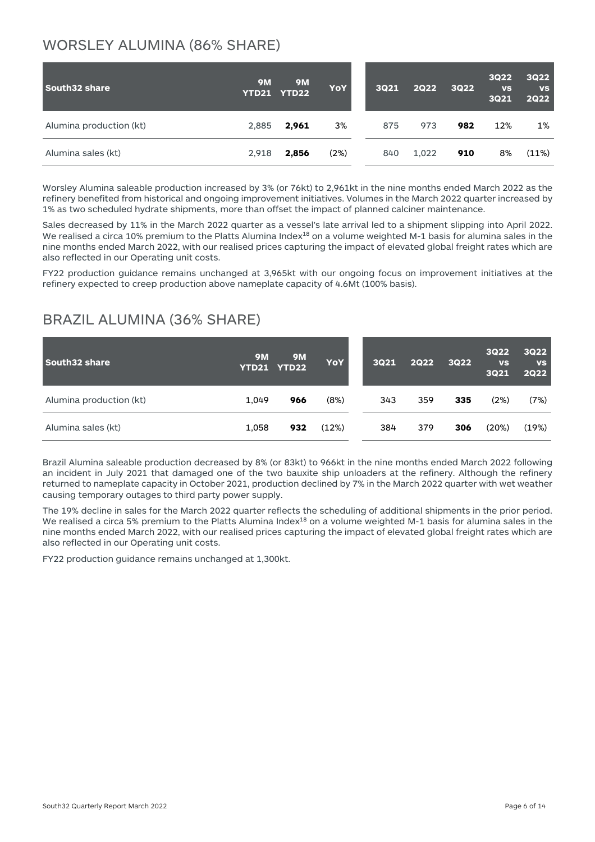#### WORSLEY ALUMINA (86% SHARE)

| South32 share           | <b>9M</b> | <b>9M</b><br>YTD21 YTD22 | <b>YoY</b> | <b>3Q21</b> | <b>2Q22</b> | <b>3Q22</b> | <b>3Q22</b><br><b>VS</b><br><b>3Q21</b> | <b>3Q22</b><br><b>VS</b><br><b>2Q22</b> |
|-------------------------|-----------|--------------------------|------------|-------------|-------------|-------------|-----------------------------------------|-----------------------------------------|
| Alumina production (kt) | 2,885     | 2,961                    | 3%         | 875         | 973         | 982         | 12%                                     | $1\%$                                   |
| Alumina sales (kt)      | 2,918     | 2,856                    | (2%)       | 840         | 1,022       | 910         | 8%                                      | (11%)                                   |

Worsley Alumina saleable production increased by 3% (or 76kt) to 2,961kt in the nine months ended March 2022 as the refinery benefited from historical and ongoing improvement initiatives. Volumes in the March 2022 quarter increased by 1% as two scheduled hydrate shipments, more than offset the impact of planned calciner maintenance.

Sales decreased by 11% in the March 2022 quarter as a vessel's late arrival led to a shipment slipping into April 2022. We realised a circa 10% premium to the Platts Alumina Index<sup>18</sup> on a volume weighted M-1 basis for alumina sales in the nine months ended March 2022, with our realised prices capturing the impact of elevated global freight rates which are also reflected in our Operating unit costs.

FY22 production guidance remains unchanged at 3,965kt with our ongoing focus on improvement initiatives at the refinery expected to creep production above nameplate capacity of 4.6Mt (100% basis).

#### BRAZIL ALUMINA (36% SHARE)

| South32 share           | <b>9M</b><br><b>YTD21</b> | <b>9M</b><br><b>YTD22</b> | <b>YoY</b> | <b>3Q21</b> | <b>2Q22</b> | <b>3Q22</b> | <b>3Q22</b><br><b>VS</b><br><b>3Q21</b> | <b>3Q22</b><br><b>VS</b><br><b>2Q22</b> |
|-------------------------|---------------------------|---------------------------|------------|-------------|-------------|-------------|-----------------------------------------|-----------------------------------------|
| Alumina production (kt) | 1.049                     | 966                       | (8%)       | 343         | 359         | 335         | (2%)                                    | (7%)                                    |
| Alumina sales (kt)      | 1,058                     | 932                       | (12%)      | 384         | 379         | 306         | (20%)                                   | (19%)                                   |

Brazil Alumina saleable production decreased by 8% (or 83kt) to 966kt in the nine months ended March 2022 following an incident in July 2021 that damaged one of the two bauxite ship unloaders at the refinery. Although the refinery returned to nameplate capacity in October 2021, production declined by 7% in the March 2022 quarter with wet weather causing temporary outages to third party power supply.

The 19% decline in sales for the March 2022 quarter reflects the scheduling of additional shipments in the prior period. We realised a circa 5% premium to the Platts Alumina Index<sup>18</sup> on a volume weighted M-1 basis for alumina sales in the nine months ended March 2022, with our realised prices capturing the impact of elevated global freight rates which are also reflected in our Operating unit costs.

FY22 production guidance remains unchanged at 1,300kt.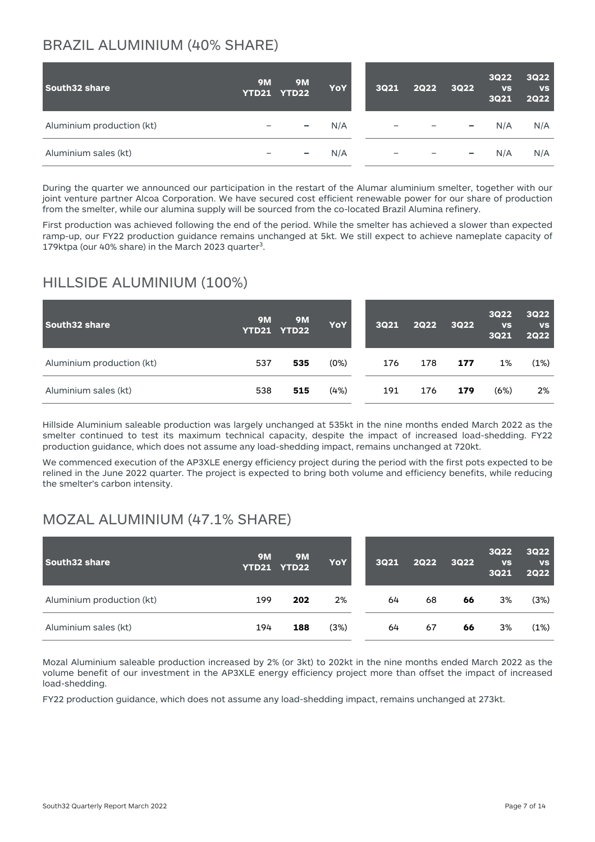## BRAZIL ALUMINIUM (40% SHARE)

| South32 share             | <b>9M</b> | <b>9M</b><br>YTD21 YTD22 | YoY | <b>3Q21</b> | <b>2Q22</b>                                   | <b>3Q22</b>              | <b>3Q22</b><br><b>VS</b><br><b>3Q21</b> | <b>3Q22</b><br><b>VS</b><br><b>2Q22</b> |
|---------------------------|-----------|--------------------------|-----|-------------|-----------------------------------------------|--------------------------|-----------------------------------------|-----------------------------------------|
| Aluminium production (kt) |           | -                        | N/A |             | $\overline{\phantom{m}}$                      | -                        | N/A                                     | N/A                                     |
| Aluminium sales (kt)      |           | $\overline{\phantom{0}}$ | N/A |             | $\qquad \qquad -$<br>$\overline{\phantom{0}}$ | $\overline{\phantom{a}}$ | N/A                                     | N/A                                     |

During the quarter we announced our participation in the restart of the Alumar aluminium smelter, together with our joint venture partner Alcoa Corporation. We have secured cost efficient renewable power for our share of production from the smelter, while our alumina supply will be sourced from the co-located Brazil Alumina refinery.

First production was achieved following the end of the period. While the smelter has achieved a slower than expected ramp-up, our FY22 production guidance remains unchanged at 5kt. We still expect to achieve nameplate capacity of 179ktpa (our 40% share) in the March 2023 quarter<sup>3</sup>.

#### HILLSIDE ALUMINIUM (100%)

| South32 share             | <b>9M</b> | <b>9M</b><br>YTD21 YTD22 | <b>YoY</b> | 3021 | <b>2Q22</b> | <b>3Q22</b> | <b>3Q22</b><br><b>VS</b><br><b>3Q21</b> | <b>3Q22</b><br><b>VS</b><br><b>2Q22</b> |
|---------------------------|-----------|--------------------------|------------|------|-------------|-------------|-----------------------------------------|-----------------------------------------|
| Aluminium production (kt) | 537       | 535                      | (0%)       | 176  | 178         | 177         | 1%                                      | (1%)                                    |
| Aluminium sales (kt)      | 538       | 515                      | (4%)       | 191  | 176         | 179         | (6%)                                    | 2%                                      |

Hillside Aluminium saleable production was largely unchanged at 535kt in the nine months ended March 2022 as the smelter continued to test its maximum technical capacity, despite the impact of increased load-shedding. FY22 production guidance, which does not assume any load-shedding impact, remains unchanged at 720kt.

We commenced execution of the AP3XLE energy efficiency project during the period with the first pots expected to be relined in the June 2022 quarter. The project is expected to bring both volume and efficiency benefits, while reducing the smelter's carbon intensity.

#### MOZAL ALUMINIUM (47.1% SHARE)

| South32 share             | <b>9M</b> | <b>9M</b><br>YTD21 YTD22 | <b>YoY</b> | 3021 | 2Q22 | <b>3Q22</b> | <b>3Q22</b><br><b>VS</b><br><b>3Q21</b> | <b>3Q22</b><br><b>VS</b><br><b>2Q22</b> |
|---------------------------|-----------|--------------------------|------------|------|------|-------------|-----------------------------------------|-----------------------------------------|
| Aluminium production (kt) | 199       | 202                      | 2%         | 64   | 68   | 66          | 3%                                      | (3%)                                    |
| Aluminium sales (kt)      | 194       | 188                      | (3%)       | 64   | 67   | 66          | 3%                                      | (1%)                                    |

Mozal Aluminium saleable production increased by 2% (or 3kt) to 202kt in the nine months ended March 2022 as the volume benefit of our investment in the AP3XLE energy efficiency project more than offset the impact of increased load-shedding.

FY22 production guidance, which does not assume any load-shedding impact, remains unchanged at 273kt.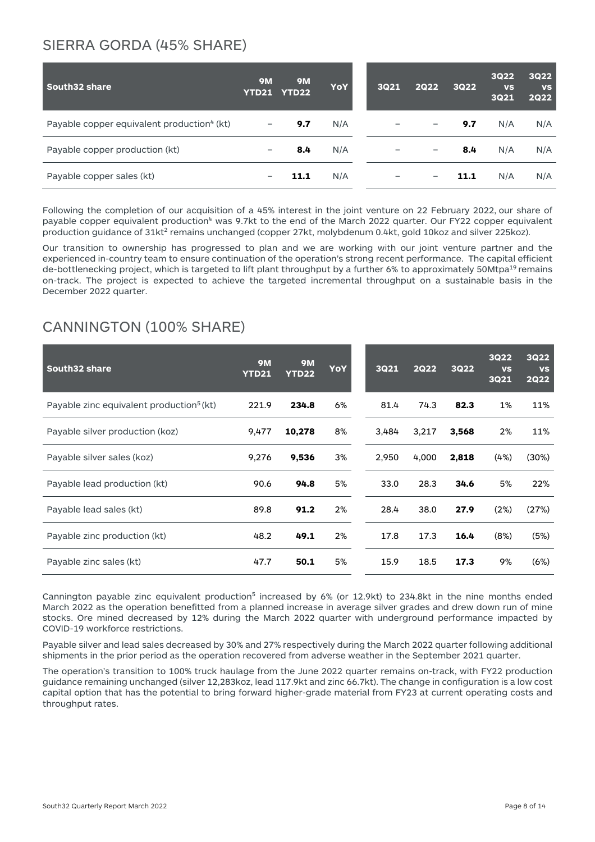#### SIERRA GORDA (45% SHARE)

| <b>South32 share</b>                                   | <b>9M</b><br>YTD21 | <b>9M</b><br><b>YTD22</b> | <b>YoY</b> | <b>3Q21</b> | <b>2Q22</b>              | <b>3Q22</b> | <b>3Q22</b><br><b>VS</b><br><b>3Q21</b> | <b>3Q22</b><br><b>VS</b><br><b>2Q22</b> |
|--------------------------------------------------------|--------------------|---------------------------|------------|-------------|--------------------------|-------------|-----------------------------------------|-----------------------------------------|
| Payable copper equivalent production <sup>4</sup> (kt) | -                  | 9.7                       | N/A        |             |                          | 9.7         | N/A                                     | N/A                                     |
| Payable copper production (kt)                         |                    | 8.4                       | N/A        |             | $\qquad \qquad -$        | 8.4         | N/A                                     | N/A                                     |
| Payable copper sales (kt)                              |                    | 11.1                      | N/A        |             | $\overline{\phantom{0}}$ | 11.1        | N/A                                     | N/A                                     |

Following the completion of our acquisition of a 45% interest in the joint venture on 22 February 2022, our share of payable copper equivalent production<sup>4</sup> was 9.7kt to the end of the March 2022 quarter. Our FY22 copper equivalent production guidance of 31kt<sup>2</sup> remains unchanged (copper 27kt, molybdenum 0.4kt, gold 10koz and silver 225koz).

Our transition to ownership has progressed to plan and we are working with our joint venture partner and the experienced in-country team to ensure continuation of the operation's strong recent performance. The capital efficient de-bottlenecking project, which is targeted to lift plant throughput by a further 6% to approximately 50Mtpa<sup>19</sup> remains on-track. The project is expected to achieve the targeted incremental throughput on a sustainable basis in the December 2022 quarter.

#### CANNINGTON (100% SHARE)

| South32 share                                        | <b>9M</b><br><b>YTD21</b> | <b>9M</b><br><b>YTD22</b> | <b>YoY</b> | <b>3Q21</b> | <b>2Q22</b> | <b>3Q22</b> | <b>3Q22</b><br><b>VS</b><br><b>3Q21</b> | <b>3Q22</b><br><b>VS</b><br><b>2Q22</b> |
|------------------------------------------------------|---------------------------|---------------------------|------------|-------------|-------------|-------------|-----------------------------------------|-----------------------------------------|
| Payable zinc equivalent production <sup>5</sup> (kt) | 221.9                     | 234.8                     | 6%         | 81.4        | 74.3        | 82.3        | 1%                                      | 11%                                     |
| Payable silver production (koz)                      | 9,477                     | 10,278                    | 8%         | 3,484       | 3,217       | 3,568       | 2%                                      | 11%                                     |
| Payable silver sales (koz)                           | 9,276                     | 9,536                     | 3%         | 2,950       | 4,000       | 2,818       | (4%)                                    | $(30\%)$                                |
| Payable lead production (kt)                         | 90.6                      | 94.8                      | 5%         | 33.0        | 28.3        | 34.6        | 5%                                      | 22%                                     |
| Payable lead sales (kt)                              | 89.8                      | 91.2                      | 2%         | 28.4        | 38.0        | 27.9        | (2%)                                    | (27%)                                   |
| Payable zinc production (kt)                         | 48.2                      | 49.1                      | 2%         | 17.8        | 17.3        | 16.4        | (8%)                                    | (5%)                                    |
| Payable zinc sales (kt)                              | 47.7                      | 50.1                      | 5%         | 15.9        | 18.5        | 17.3        | 9%                                      | (6%)                                    |

Cannington payable zinc equivalent production<sup>5</sup> increased by 6% (or 12.9kt) to 234.8kt in the nine months ended March 2022 as the operation benefitted from a planned increase in average silver grades and drew down run of mine stocks. Ore mined decreased by 12% during the March 2022 quarter with underground performance impacted by COVID-19 workforce restrictions.

Payable silver and lead sales decreased by 30% and 27% respectively during the March 2022 quarter following additional shipments in the prior period as the operation recovered from adverse weather in the September 2021 quarter.

The operation's transition to 100% truck haulage from the June 2022 quarter remains on-track, with FY22 production guidance remaining unchanged (silver 12,283koz, lead 117.9kt and zinc 66.7kt). The change in configuration is a low cost capital option that has the potential to bring forward higher-grade material from FY23 at current operating costs and throughput rates.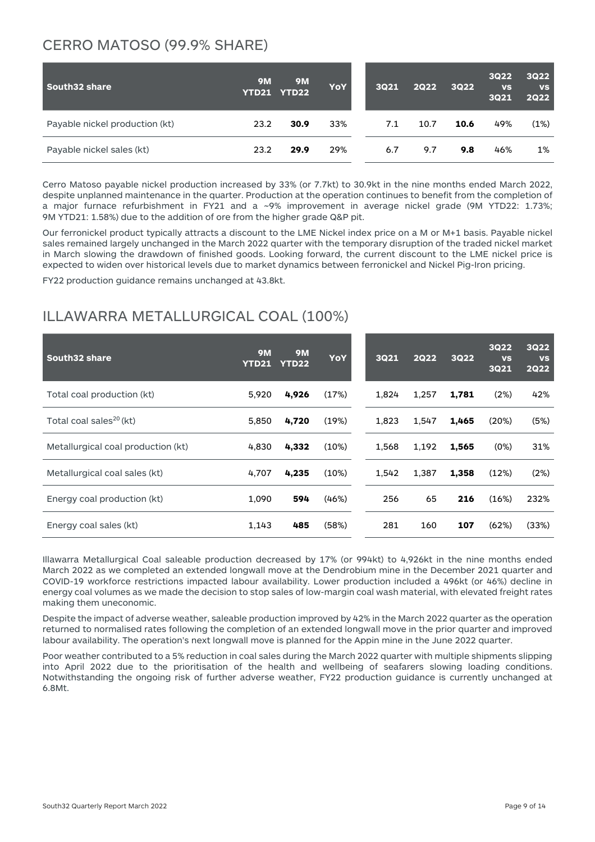#### CERRO MATOSO (99.9% SHARE)

| South32 share                  | <b>9M</b> | <b>9M</b><br>YTD21 YTD22 | <b>YoY</b> | 3021 | 2Q22 | <b>3Q22</b> | <b>3Q22</b><br><b>VS</b><br><b>3Q21</b> | <b>3Q22</b><br><b>VS</b><br><b>2Q22</b> |
|--------------------------------|-----------|--------------------------|------------|------|------|-------------|-----------------------------------------|-----------------------------------------|
| Payable nickel production (kt) | 23.2      | 30.9                     | 33%        | 7.1  | 10.7 | 10.6        | 49%                                     | (1%)                                    |
| Payable nickel sales (kt)      | 23.2      | 29.9                     | 29%        | 6.7  | 9.7  | 9.8         | 46%                                     | 1%                                      |

Cerro Matoso payable nickel production increased by 33% (or 7.7kt) to 30.9kt in the nine months ended March 2022, despite unplanned maintenance in the quarter. Production at the operation continues to benefit from the completion of a major furnace refurbishment in FY21 and a ~9% improvement in average nickel grade (9M YTD22: 1.73%; 9M YTD21: 1.58%) due to the addition of ore from the higher grade Q&P pit.

Our ferronickel product typically attracts a discount to the LME Nickel index price on a M or M+1 basis. Payable nickel sales remained largely unchanged in the March 2022 quarter with the temporary disruption of the traded nickel market in March slowing the drawdown of finished goods. Looking forward, the current discount to the LME nickel price is expected to widen over historical levels due to market dynamics between ferronickel and Nickel Pig-Iron pricing.

FY22 production guidance remains unchanged at 43.8kt.

## ILLAWARRA METALLURGICAL COAL (100%)

| South32 share                       | <b>9M</b><br><b>YTD21</b> | <b>9M</b><br><b>YTD22</b> | <b>YoY</b> | <b>3Q21</b> | <b>2Q22</b> | <b>3Q22</b> | <b>3Q22</b><br><b>VS</b><br><b>3Q21</b> | <b>3Q22</b><br><b>VS</b><br><b>2Q22</b> |
|-------------------------------------|---------------------------|---------------------------|------------|-------------|-------------|-------------|-----------------------------------------|-----------------------------------------|
| Total coal production (kt)          | 5,920                     | 4,926                     | (17%)      | 1.824       | 1,257       | 1,781       | (2%)                                    | 42%                                     |
| Total coal sales <sup>20</sup> (kt) | 5,850                     | 4,720                     | (19%)      | 1.823       | 1.547       | 1,465       | (20%)                                   | (5%)                                    |
| Metallurgical coal production (kt)  | 4,830                     | 4,332                     | (10%)      | 1,568       | 1,192       | 1,565       | (0%)                                    | 31%                                     |
| Metallurgical coal sales (kt)       | 4,707                     | 4,235                     | (10%)      | 1,542       | 1.387       | 1,358       | (12%)                                   | (2%)                                    |
| Energy coal production (kt)         | 1,090                     | 594                       | (46%)      | 256         | 65          | 216         | (16%)                                   | 232%                                    |
| Energy coal sales (kt)              | 1.143                     | 485                       | (58%)      | 281         | 160         | 107         | (62%)                                   | (33%)                                   |

Illawarra Metallurgical Coal saleable production decreased by 17% (or 994kt) to 4,926kt in the nine months ended March 2022 as we completed an extended longwall move at the Dendrobium mine in the December 2021 quarter and COVID-19 workforce restrictions impacted labour availability. Lower production included a 496kt (or 46%) decline in energy coal volumes as we made the decision to stop sales of low-margin coal wash material, with elevated freight rates making them uneconomic.

Despite the impact of adverse weather, saleable production improved by 42% in the March 2022 quarter as the operation returned to normalised rates following the completion of an extended longwall move in the prior quarter and improved labour availability. The operation's next longwall move is planned for the Appin mine in the June 2022 quarter.

Poor weather contributed to a 5% reduction in coal sales during the March 2022 quarter with multiple shipments slipping into April 2022 due to the prioritisation of the health and wellbeing of seafarers slowing loading conditions. Notwithstanding the ongoing risk of further adverse weather, FY22 production guidance is currently unchanged at 6.8Mt.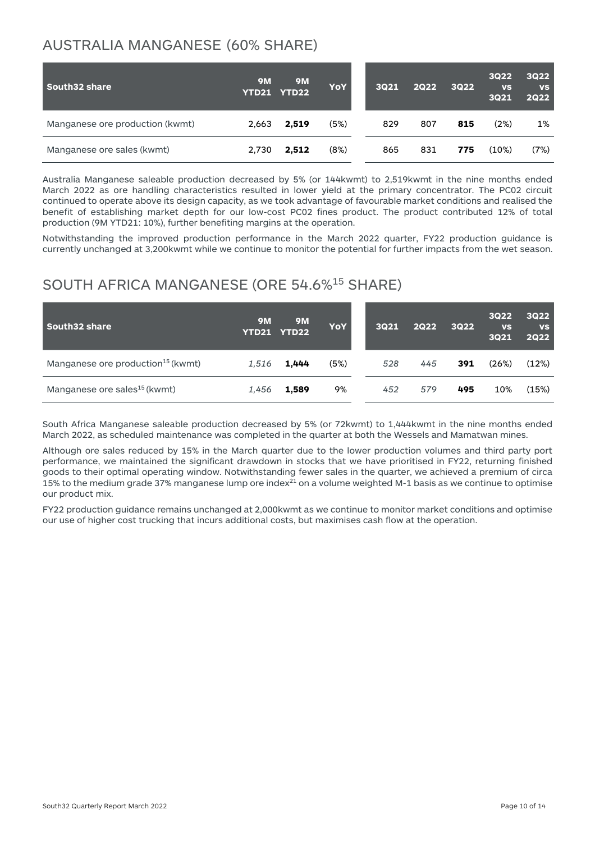#### AUSTRALIA MANGANESE (60% SHARE)

| South32 share                   | <b>9M</b> | <b>9M</b><br>YTD21 YTD22 | <b>YoY</b> | 3021 | <b>2Q22</b> | 3Q22 | <b>3Q22</b><br><b>VS</b><br><b>3Q21</b> | <b>3Q22</b><br><b>VS</b><br><b>2Q22</b> |
|---------------------------------|-----------|--------------------------|------------|------|-------------|------|-----------------------------------------|-----------------------------------------|
| Manganese ore production (kwmt) | 2,663     | 2,519                    | (5%)       | 829  | 807         | 815  | (2%)                                    | 1%                                      |
| Manganese ore sales (kwmt)      | 2,730     | 2,512                    | (8%)       | 865  | 831         | 775  | (10%)                                   | (7%)                                    |

Australia Manganese saleable production decreased by 5% (or 144kwmt) to 2,519kwmt in the nine months ended March 2022 as ore handling characteristics resulted in lower yield at the primary concentrator. The PC02 circuit continued to operate above its design capacity, as we took advantage of favourable market conditions and realised the benefit of establishing market depth for our low-cost PC02 fines product. The product contributed 12% of total production (9M YTD21: 10%), further benefiting margins at the operation.

Notwithstanding the improved production performance in the March 2022 quarter, FY22 production guidance is currently unchanged at 3,200kwmt while we continue to monitor the potential for further impacts from the wet season.

#### SOUTH AFRICA MANGANESE (ORE 54.6%15 SHARE)

| South32 share                                 | <b>9M</b> | <b>9M</b><br>YTD21 YTD22 | <b>YoY</b> | 3021 | <b>2Q22</b> | <b>3Q22</b> | <b>3Q22</b><br><b>VS</b><br><b>3Q21</b> | <b>3Q22</b><br><b>VS</b><br><b>2Q22</b> |
|-----------------------------------------------|-----------|--------------------------|------------|------|-------------|-------------|-----------------------------------------|-----------------------------------------|
| Manganese ore production <sup>15</sup> (kwmt) | 1,516     | 1.444                    | (5%)       | 528  | 445         | 391         | (26%)                                   | (12%)                                   |
| Manganese ore sales <sup>15</sup> (kwmt)      | 1,456     | 1,589                    | 9%         | 452  | 579         | 495         | 10%                                     | (15%)                                   |

South Africa Manganese saleable production decreased by 5% (or 72kwmt) to 1,444kwmt in the nine months ended March 2022, as scheduled maintenance was completed in the quarter at both the Wessels and Mamatwan mines.

Although ore sales reduced by 15% in the March quarter due to the lower production volumes and third party port performance, we maintained the significant drawdown in stocks that we have prioritised in FY22, returning finished goods to their optimal operating window. Notwithstanding fewer sales in the quarter, we achieved a premium of circa 15% to the medium grade 37% manganese lump ore index $^{21}$  on a volume weighted M-1 basis as we continue to optimise our product mix.

FY22 production guidance remains unchanged at 2,000kwmt as we continue to monitor market conditions and optimise our use of higher cost trucking that incurs additional costs, but maximises cash flow at the operation.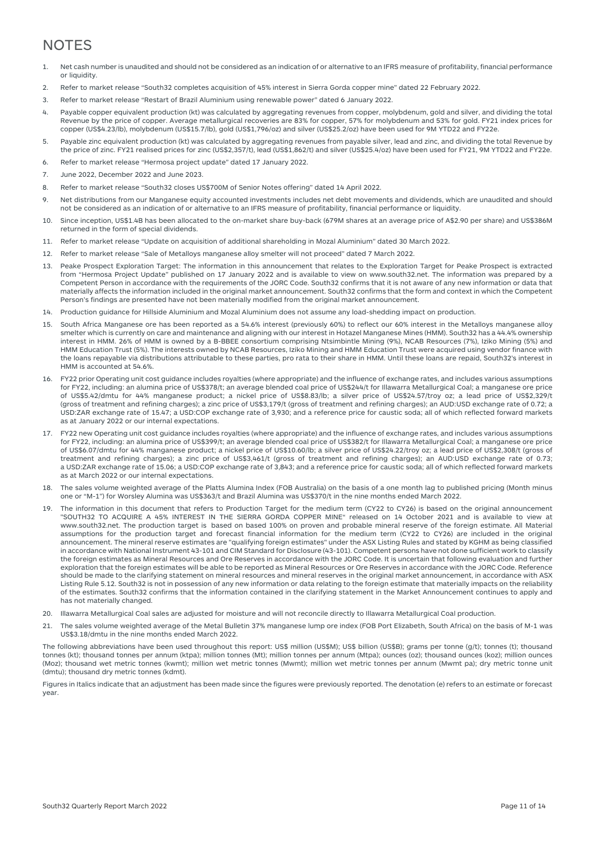#### **NOTES**

- 1. Net cash number is unaudited and should not be considered as an indication of or alternative to an IFRS measure of profitability, financial performance or liquidity.
- 2. Refer to market release "South32 completes acquisition of 45% interest in Sierra Gorda copper mine" dated 22 February 2022.
- 3. Refer to market release "Restart of Brazil Aluminium using renewable power" dated 6 January 2022.
- 4. Payable copper equivalent production (kt) was calculated by aggregating revenues from copper, molybdenum, gold and silver, and dividing the total Revenue by the price of copper. Average metallurgical recoveries are 83% for copper, 57% for molybdenum and 53% for gold. FY21 index prices for copper (US\$4.23/lb), molybdenum (US\$15.7/lb), gold (US\$1,796/oz) and silver (US\$25.2/oz) have been used for 9M YTD22 and FY22e.
- 5. Payable zinc equivalent production (kt) was calculated by aggregating revenues from payable silver, lead and zinc, and dividing the total Revenue by the price of zinc. FY21 realised prices for zinc (US\$2,357/t), lead (US\$1,862/t) and silver (US\$25.4/oz) have been used for FY21, 9M YTD22 and FY22e.
- 6. Refer to market release "Hermosa project update" dated 17 January 2022.
- 7. June 2022, December 2022 and June 2023.
- 8. Refer to market release "South32 closes US\$700M of Senior Notes offering" dated 14 April 2022.
- 9. Net distributions from our Manganese equity accounted investments includes net debt movements and dividends, which are unaudited and should not be considered as an indication of or alternative to an IFRS measure of profitability, financial performance or liquidity.
- 10. Since inception, US\$1.4B has been allocated to the on-market share buy-back (679M shares at an average price of A\$2.90 per share) and US\$386M returned in the form of special dividends.
- 11. Refer to market release "Update on acquisition of additional shareholding in Mozal Aluminium" dated 30 March 2022.
- 12. Refer to market release "Sale of Metalloys manganese alloy smelter will not proceed" dated 7 March 2022.
- 13. Peake Prospect Exploration Target: The information in this announcement that relates to the Exploration Target for Peake Prospect is extracted from "Hermosa Project Update" published on 17 January 2022 and is available to view on www.south32.net. The information was prepared by a Competent Person in accordance with the requirements of the JORC Code. South32 confirms that it is not aware of any new information or data that materially affects the information included in the original market announcement. South32 confirms that the form and context in which the Competent Person's findings are presented have not been materially modified from the original market announcement.
- 14. Production guidance for Hillside Aluminium and Mozal Aluminium does not assume any load-shedding impact on production.
- 15. South Africa Manganese ore has been reported as a 54.6% interest (previously 60%) to reflect our 60% interest in the Metalloys manganese alloy smelter which is currently on care and maintenance and aligning with our interest in Hotazel Manganese Mines (HMM). South32 has a 44.4% ownership interest in HMM. 26% of HMM is owned by a B-BBEE consortium comprising Ntsimbintle Mining (9%), NCAB Resources (7%), Iziko Mining (5%) and HMM Education Trust (5%). The interests owned by NCAB Resources, Iziko Mining and HMM Education Trust were acquired using vendor finance with the loans repayable via distributions attributable to these parties, pro rata to their share in HMM. Until these loans are repaid, South32's interest in HMM is accounted at 54.6%.
- 16. FY22 prior Operating unit cost guidance includes royalties (where appropriate) and the influence of exchange rates, and includes various assumptions for FY22, including: an alumina price of US\$378/t; an average blended coal price of US\$244/t for Illawarra Metallurgical Coal; a manganese ore price of US\$5.42/dmtu for 44% manganese product; a nickel price of US\$8.83/lb; a silver price of US\$24.57/troy oz; a lead price of US\$2,329/t (gross of treatment and refining charges); a zinc price of US\$3,179/t (gross of treatment and refining charges); an AUD:USD exchange rate of 0.72; a USD:ZAR exchange rate of 15.47; a USD:COP exchange rate of 3,930; and a reference price for caustic soda; all of which reflected forward markets as at January 2022 or our internal expectations.
- 17. FY22 new Operating unit cost guidance includes royalties (where appropriate) and the influence of exchange rates, and includes various assumptions for FY22, including: an alumina price of US\$399/t; an average blended coal price of US\$382/t for Illawarra Metallurgical Coal; a manganese ore price of US\$6.07/dmtu for 44% manganese product; a nickel price of US\$10.60/lb; a silver price of US\$24.22/troy oz; a lead price of US\$2,308/t (gross of treatment and refining charges); a zinc price of US\$3,461/t (gross of treatment and refining charges); an AUD:USD exchange rate of 0.73; a USD:ZAR exchange rate of 15.06; a USD:COP exchange rate of 3,843; and a reference price for caustic soda; all of which reflected forward markets as at March 2022 or our internal expectations.
- 18. The sales volume weighted average of the Platts Alumina Index (FOB Australia) on the basis of a one month lag to published pricing (Month minus one or "M-1") for Worsley Alumina was US\$363/t and Brazil Alumina was US\$370/t in the nine months ended March 2022.
- 19. The information in this document that refers to Production Target for the medium term (CY22 to CY26) is based on the original announcement "SOUTH32 TO ACQUIRE A 45% INTEREST IN THE SIERRA GORDA COPPER MINE" released on 14 October 2021 and is available to view at [www.south32.net.](http://www.south32.net/) The production target is based on based 100% on proven and probable mineral reserve of the foreign estimate. All Material assumptions for the production target and forecast financial information for the medium term (CY22 to CY26) are included in the original announcement. The mineral reserve estimates are "qualifying foreign estimates" under the ASX Listing Rules and stated by KGHM as being classified in accordance with National Instrument 43-101 and CIM Standard for Disclosure (43-101). Competent persons have not done sufficient work to classify the foreign estimates as Mineral Resources and Ore Reserves in accordance with the JORC Code. It is uncertain that following evaluation and further exploration that the foreign estimates will be able to be reported as Mineral Resources or Ore Reserves in accordance with the JORC Code. Reference should be made to the clarifying statement on mineral resources and mineral reserves in the original market announcement, in accordance with ASX Listing Rule 5.12. South32 is not in possession of any new information or data relating to the foreign estimate that materially impacts on the reliability of the estimates. South32 confirms that the information contained in the clarifying statement in the Market Announcement continues to apply and has not materially changed.
- 20. Illawarra Metallurgical Coal sales are adjusted for moisture and will not reconcile directly to Illawarra Metallurgical Coal production.
- 21. The sales volume weighted average of the Metal Bulletin 37% manganese lump ore index (FOB Port Elizabeth, South Africa) on the basis of M-1 was US\$3.18/dmtu in the nine months ended March 2022.

The following abbreviations have been used throughout this report: US\$ million (US\$M); US\$ billion (US\$B); grams per tonne (g/t); tonnes (t); thousand tonnes (kt); thousand tonnes per annum (ktpa); million tonnes (Mt); million tonnes per annum (Mtpa); ounces (oz); thousand ounces (koz); million ounces (Moz); thousand wet metric tonnes (kwmt); million wet metric tonnes (Mwmt); million wet metric tonnes per annum (Mwmt pa); dry metric tonne unit (dmtu); thousand dry metric tonnes (kdmt).

Figures in Italics indicate that an adjustment has been made since the figures were previously reported. The denotation (e) refers to an estimate or forecast year.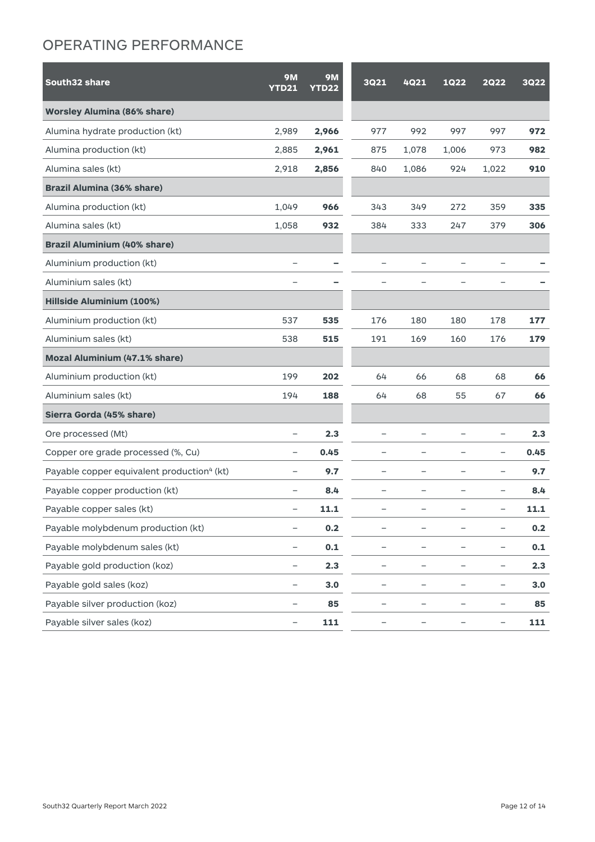#### OPERATING PERFORMANCE

| South32 share                                          | <b>9M</b>                | <b>9M</b>    | <b>3Q21</b>              | 4Q21                     | <b>1Q22</b>              | 2022                     | <b>3Q22</b> |
|--------------------------------------------------------|--------------------------|--------------|--------------------------|--------------------------|--------------------------|--------------------------|-------------|
|                                                        | <b>YTD21</b>             | <b>YTD22</b> |                          |                          |                          |                          |             |
| <b>Worsley Alumina (86% share)</b>                     |                          |              |                          |                          |                          |                          |             |
| Alumina hydrate production (kt)                        | 2,989                    | 2,966        | 977                      | 992                      | 997                      | 997                      | 972         |
| Alumina production (kt)                                | 2,885                    | 2,961        | 875                      | 1,078                    | 1,006                    | 973                      | 982         |
| Alumina sales (kt)                                     | 2,918                    | 2,856        | 840                      | 1,086                    | 924                      | 1,022                    | 910         |
| <b>Brazil Alumina (36% share)</b>                      |                          |              |                          |                          |                          |                          |             |
| Alumina production (kt)                                | 1,049                    | 966          | 343                      | 349                      | 272                      | 359                      | 335         |
| Alumina sales (kt)                                     | 1,058                    | 932          | 384                      | 333                      | 247                      | 379                      | 306         |
| <b>Brazil Aluminium (40% share)</b>                    |                          |              |                          |                          |                          |                          |             |
| Aluminium production (kt)                              |                          |              |                          |                          |                          |                          |             |
| Aluminium sales (kt)                                   |                          |              |                          |                          |                          |                          |             |
| <b>Hillside Aluminium (100%)</b>                       |                          |              |                          |                          |                          |                          |             |
| Aluminium production (kt)                              | 537                      | 535          | 176                      | 180                      | 180                      | 178                      | 177         |
| Aluminium sales (kt)                                   | 538                      | 515          | 191                      | 169                      | 160                      | 176                      | 179         |
| Mozal Aluminium (47.1% share)                          |                          |              |                          |                          |                          |                          |             |
| Aluminium production (kt)                              | 199                      | 202          | 64                       | 66                       | 68                       | 68                       | 66          |
| Aluminium sales (kt)                                   | 194                      | 188          | 64                       | 68                       | 55                       | 67                       | 66          |
| Sierra Gorda (45% share)                               |                          |              |                          |                          |                          |                          |             |
| Ore processed (Mt)                                     | -                        | 2.3          |                          | $\overline{\phantom{0}}$ | $\overline{\phantom{0}}$ | $\qquad \qquad -$        | 2.3         |
| Copper ore grade processed (%, Cu)                     | $\overline{\phantom{0}}$ | 0.45         | $\overline{\phantom{0}}$ | $\overline{\phantom{0}}$ | $\overline{\phantom{0}}$ | $\qquad \qquad -$        | 0.45        |
| Payable copper equivalent production <sup>4</sup> (kt) | $\overline{\phantom{0}}$ | 9.7          |                          | $\overline{\phantom{0}}$ | —                        | $\overline{\phantom{0}}$ | 9.7         |
| Payable copper production (kt)                         | $\overline{\phantom{0}}$ | 8.4          | $\overline{\phantom{0}}$ | $\overline{\phantom{0}}$ | $\overline{\phantom{0}}$ | $\overline{\phantom{0}}$ | 8.4         |
| Payable copper sales (kt)                              | $\overline{\phantom{0}}$ | 11.1         |                          |                          |                          |                          | 11.1        |
| Payable molybdenum production (kt)                     | -                        | 0.2          |                          |                          |                          | $\qquad \qquad -$        | 0.2         |
| Payable molybdenum sales (kt)                          | -                        | 0.1          |                          | -                        | -                        | $\qquad \qquad -$        | 0.1         |
| Payable gold production (koz)                          | -                        | 2.3          | -                        | $\qquad \qquad -$        | -                        | -                        | 2.3         |
| Payable gold sales (koz)                               | -                        | 3.0          | -                        | -                        | -                        | $\qquad \qquad -$        | 3.0         |
| Payable silver production (koz)                        | -                        | 85           | -                        | —                        | -                        | $\qquad \qquad -$        | 85          |
| Payable silver sales (koz)                             | -                        | 111          |                          |                          |                          | $\qquad \qquad -$        | 111         |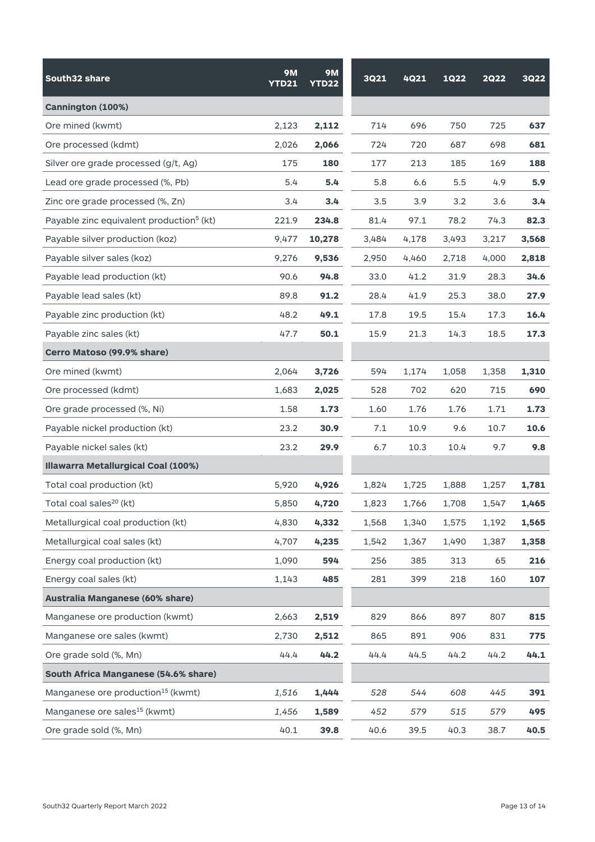| South32 share                                        | <b>9M</b><br><b>YTD21</b> | <b>9M</b><br><b>YTD22</b> | <b>3Q21</b> | 4Q21  | <b>1Q22</b> | <b>2Q22</b> | <b>3Q22</b>   |
|------------------------------------------------------|---------------------------|---------------------------|-------------|-------|-------------|-------------|---------------|
| Cannington (100%)                                    |                           |                           |             |       |             |             |               |
| Ore mined (kwmt)                                     | 2,123                     | 2,112                     | 714         | 696   | 750         | 725         | 637           |
| Ore processed (kdmt)                                 | 2,026                     | 2,066                     | 724         | 720   | 687         | 698         | 681           |
| Silver ore grade processed (g/t, Ag)                 | 175                       | 180                       | 177         | 213   | 185         | 169         | 188           |
| Lead ore grade processed (%, Pb)                     | 5.4                       | 5.4                       | 5.8         | 6.6   | 5.5         | 4.9         | 5.9           |
| Zinc ore grade processed (%, Zn)                     | 3.4                       | 3.4                       | 3.5         | 3.9   | 3.2         | 3.6         | $3.4^{\circ}$ |
| Payable zinc equivalent production <sup>5</sup> (kt) | 221.9                     | 234.8                     | 81.4        | 97.1  | 78.2        | 74.3        | 82.3          |
| Payable silver production (koz)                      | 9,477                     | 10,278                    | 3,484       | 4,178 | 3,493       | 3,217       | 3,568         |
| Payable silver sales (koz)                           | 9,276                     | 9,536                     | 2,950       | 4,460 | 2,718       | 4,000       | 2,818         |
| Payable lead production (kt)                         | 90.6                      | 94.8                      | 33.0        | 41.2  | 31.9        | 28.3        | 34.6          |
| Payable lead sales (kt)                              | 89.8                      | 91.2                      | 28.4        | 41.9  | 25.3        | 38.0        | 27.9          |
| Payable zinc production (kt)                         | 48.2                      | 49.1                      | 17.8        | 19.5  | 15.4        | 17.3        | 16.4          |
| Payable zinc sales (kt)                              | 47.7                      | 50.1                      | 15.9        | 21.3  | 14.3        | 18.5        | 17.3          |
| Cerro Matoso (99.9% share)                           |                           |                           |             |       |             |             |               |
| Ore mined (kwmt)                                     | 2,064                     | 3,726                     | 594         | 1,174 | 1,058       | 1,358       | 1,310         |
| Ore processed (kdmt)                                 | 1,683                     | 2,025                     | 528         | 702   | 620         | 715         | 690           |
| Ore grade processed (%, Ni)                          | 1.58                      | 1.73                      | 1.60        | 1.76  | 1.76        | 1.71        | 1.73          |
| Payable nickel production (kt)                       | 23.2                      | 30.9                      | 7.1         | 10.9  | 9.6         | 10.7        | 10.6          |
| Payable nickel sales (kt)                            | 23.2                      | 29.9                      | 6.7         | 10.3  | 10.4        | 9.7         | 9.8           |
| Illawarra Metallurgical Coal (100%)                  |                           |                           |             |       |             |             |               |
| Total coal production (kt)                           | 5,920                     | 4,926                     | 1,824       | 1,725 | 1,888       | 1,257       | 1,781         |
| Total coal sales <sup>20</sup> (kt)                  | 5,850                     | 4,720                     | 1,823       | 1,766 | 1,708       | 1,547       | 1,465         |
| Metallurgical coal production (kt)                   | 4,830                     | 4,332                     | 1,568       | 1,340 | 1,575       | 1,192       | 1,565         |
| Metallurgical coal sales (kt)                        | 4,707                     | 4,235                     | 1,542       | 1,367 | 1,490       | 1,387       | 1,358         |
| Energy coal production (kt)                          | 1,090                     | 594                       | 256         | 385   | 313         | 65          | 216           |
| Energy coal sales (kt)                               | 1,143                     | 485                       | 281         | 399   | 218         | 160         | 107           |
| Australia Manganese (60% share)                      |                           |                           |             |       |             |             |               |
| Manganese ore production (kwmt)                      | 2,663                     | 2,519                     | 829         | 866   | 897         | 807         | 815           |
| Manganese ore sales (kwmt)                           | 2,730                     | 2,512                     | 865         | 891   | 906         | 831         | 775           |
| Ore grade sold (%, Mn)                               | 44.4                      | 44.2                      | 44.4        | 44.5  | 44.2        | 44.2        | 44.1          |
| South Africa Manganese (54.6% share)                 |                           |                           |             |       |             |             |               |
| Manganese ore production <sup>15</sup> (kwmt)        | 1,516                     | 1,444                     | 528         | 544   | 608         | 445         | 391           |
| Manganese ore sales <sup>15</sup> (kwmt)             | 1,456                     | 1,589                     | 452         | 579   | 515         | 579         | 495           |
| Ore grade sold (%, Mn)                               | 40.1                      | 39.8                      | 40.6        | 39.5  | 40.3        | 38.7        | 40.5          |